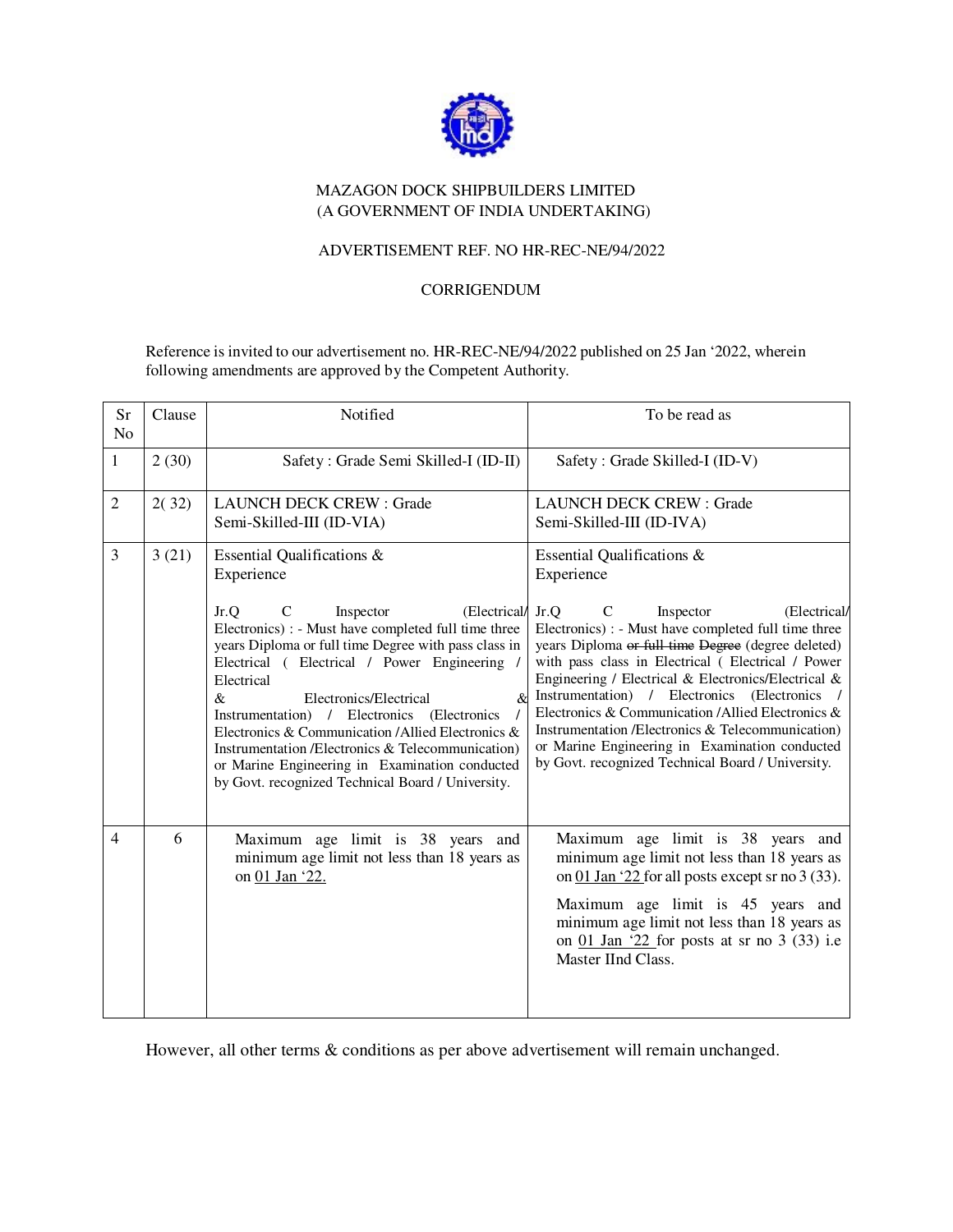

## MAZAGON DOCK SHIPBUILDERS LIMITED (A GOVERNMENT OF INDIA UNDERTAKING)

## ADVERTISEMENT REF. NO HR-REC-NE/94/2022

## CORRIGENDUM

Reference is invited to our advertisement no. HR-REC-NE/94/2022 published on 25 Jan '2022, wherein following amendments are approved by the Competent Authority.

| <b>Sr</b><br>N <sub>o</sub> | Clause | Notified                                                                                                                                                                                                                                                                                                                                                                                                                                                                                                                                       | To be read as                                                                                                                                                                                                                                                                                                                                                                                                                                                                                                                         |
|-----------------------------|--------|------------------------------------------------------------------------------------------------------------------------------------------------------------------------------------------------------------------------------------------------------------------------------------------------------------------------------------------------------------------------------------------------------------------------------------------------------------------------------------------------------------------------------------------------|---------------------------------------------------------------------------------------------------------------------------------------------------------------------------------------------------------------------------------------------------------------------------------------------------------------------------------------------------------------------------------------------------------------------------------------------------------------------------------------------------------------------------------------|
| $\mathbf{1}$                | 2(30)  | Safety: Grade Semi Skilled-I (ID-II)                                                                                                                                                                                                                                                                                                                                                                                                                                                                                                           | Safety: Grade Skilled-I (ID-V)                                                                                                                                                                                                                                                                                                                                                                                                                                                                                                        |
| $\overline{2}$              | 2(32)  | <b>LAUNCH DECK CREW: Grade</b><br>Semi-Skilled-III (ID-VIA)                                                                                                                                                                                                                                                                                                                                                                                                                                                                                    | <b>LAUNCH DECK CREW: Grade</b><br>Semi-Skilled-III (ID-IVA)                                                                                                                                                                                                                                                                                                                                                                                                                                                                           |
| 3                           | 3(21)  | Essential Qualifications &<br>Experience                                                                                                                                                                                                                                                                                                                                                                                                                                                                                                       | Essential Qualifications &<br>Experience                                                                                                                                                                                                                                                                                                                                                                                                                                                                                              |
|                             |        | Jr.O<br>$\mathcal{C}$<br>Inspector<br>(Electrical/ Jr.O)<br>Electronics) : - Must have completed full time three<br>years Diploma or full time Degree with pass class in<br>Electrical (Electrical / Power Engineering /<br>Electrical<br>&<br>$\&$<br>Electronics/Electrical<br>Instrumentation) / Electronics (Electronics<br>Electronics & Communication / Allied Electronics &<br>Instrumentation /Electronics & Telecommunication)<br>or Marine Engineering in Examination conducted<br>by Govt. recognized Technical Board / University. | $\mathcal{C}$<br>Inspector<br>(Electrical/<br>Electronics) : - Must have completed full time three<br>years Diploma or full time Degree (degree deleted)<br>with pass class in Electrical (Electrical / Power<br>Engineering / Electrical & Electronics/Electrical &<br>Instrumentation) / Electronics (Electronics<br>Electronics & Communication / Allied Electronics &<br>Instrumentation /Electronics & Telecommunication)<br>or Marine Engineering in Examination conducted<br>by Govt. recognized Technical Board / University. |
| $\overline{4}$              | 6      | Maximum age limit is 38 years and<br>minimum age limit not less than 18 years as<br>on 01 Jan '22.                                                                                                                                                                                                                                                                                                                                                                                                                                             | Maximum age limit is 38 years and<br>minimum age limit not less than 18 years as<br>on 01 Jan '22 for all posts except sr no $3(33)$ .<br>Maximum age limit is 45 years and                                                                                                                                                                                                                                                                                                                                                           |
|                             |        |                                                                                                                                                                                                                                                                                                                                                                                                                                                                                                                                                | minimum age limit not less than 18 years as<br>on 01 Jan $22$ for posts at sr no 3 (33) i.e<br>Master IInd Class.                                                                                                                                                                                                                                                                                                                                                                                                                     |

However, all other terms & conditions as per above advertisement will remain unchanged.